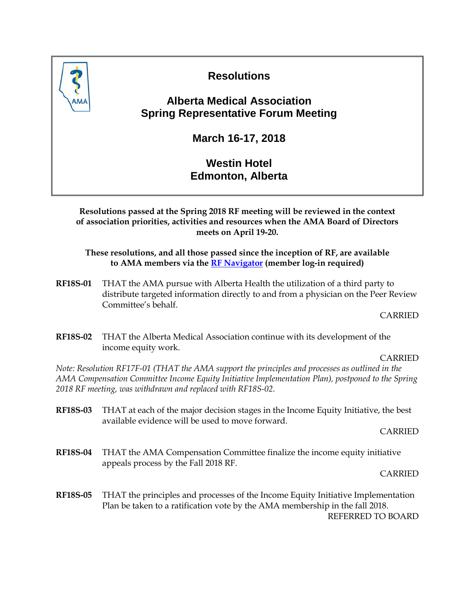

# **Resolutions**

## **Alberta Medical Association Spring Representative Forum Meeting**

**March 16-17, 2018**

## **Westin Hotel Edmonton, Alberta**

**Resolutions passed at the Spring 2018 RF meeting will be reviewed in the context of association priorities, activities and resources when the AMA Board of Directors meets on April 19-20.**

**These resolutions, and all those passed since the inception of RF, are available to AMA members via the [RF Navigator](https://www.albertadoctors.org/rf-navigator) (member log-in required)**

**RF18S-01** THAT the AMA pursue with Alberta Health the utilization of a third party to distribute targeted information directly to and from a physician on the Peer Review Committee's behalf.

CARRIED

**RF18S-02** THAT the Alberta Medical Association continue with its development of the income equity work.

CARRIED

*Note: Resolution RF17F-01 (THAT the AMA support the principles and processes as outlined in the AMA Compensation Committee Income Equity Initiative Implementation Plan), postponed to the Spring 2018 RF meeting, was withdrawn and replaced with RF18S-02.*

**RF18S-03** THAT at each of the major decision stages in the Income Equity Initiative, the best available evidence will be used to move forward.

CARRIED

**RF18S-04** THAT the AMA Compensation Committee finalize the income equity initiative appeals process by the Fall 2018 RF.

CARRIED

**RF18S-05** THAT the principles and processes of the Income Equity Initiative Implementation Plan be taken to a ratification vote by the AMA membership in the fall 2018. REFERRED TO BOARD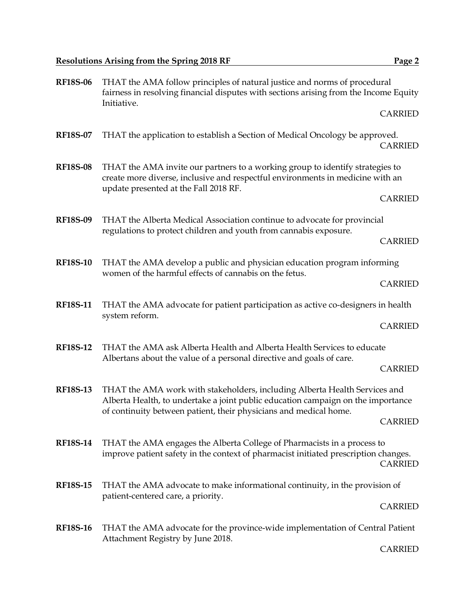| <b>RF18S-06</b> | THAT the AMA follow principles of natural justice and norms of procedural<br>fairness in resolving financial disputes with sections arising from the Income Equity<br>Initiative.                        |                |
|-----------------|----------------------------------------------------------------------------------------------------------------------------------------------------------------------------------------------------------|----------------|
|                 |                                                                                                                                                                                                          | <b>CARRIED</b> |
| <b>RF18S-07</b> | THAT the application to establish a Section of Medical Oncology be approved.                                                                                                                             | <b>CARRIED</b> |
| <b>RF18S-08</b> | THAT the AMA invite our partners to a working group to identify strategies to<br>create more diverse, inclusive and respectful environments in medicine with an<br>update presented at the Fall 2018 RF. |                |
|                 |                                                                                                                                                                                                          | <b>CARRIED</b> |
| <b>RF18S-09</b> | THAT the Alberta Medical Association continue to advocate for provincial<br>regulations to protect children and youth from cannabis exposure.                                                            |                |
|                 |                                                                                                                                                                                                          | <b>CARRIED</b> |
| <b>RF18S-10</b> | THAT the AMA develop a public and physician education program informing<br>women of the harmful effects of cannabis on the fetus.                                                                        |                |
|                 |                                                                                                                                                                                                          | <b>CARRIED</b> |
| <b>RF18S-11</b> | THAT the AMA advocate for patient participation as active co-designers in health<br>system reform.                                                                                                       |                |
|                 |                                                                                                                                                                                                          | <b>CARRIED</b> |
| <b>RF18S-12</b> | THAT the AMA ask Alberta Health and Alberta Health Services to educate<br>Albertans about the value of a personal directive and goals of care.                                                           |                |
|                 |                                                                                                                                                                                                          | <b>CARRIED</b> |
| <b>RF18S-13</b> | THAT the AMA work with stakeholders, including Alberta Health Services and<br>Alberta Health, to undertake a joint public education campaign on the importance                                           |                |
|                 | of continuity between patient, their physicians and medical home.                                                                                                                                        | <b>CARRIED</b> |
| <b>RF18S-14</b> | THAT the AMA engages the Alberta College of Pharmacists in a process to<br>improve patient safety in the context of pharmacist initiated prescription changes.                                           | <b>CARRIED</b> |
| <b>RF18S-15</b> | THAT the AMA advocate to make informational continuity, in the provision of                                                                                                                              |                |
|                 | patient-centered care, a priority.                                                                                                                                                                       | <b>CARRIED</b> |
| <b>RF18S-16</b> | THAT the AMA advocate for the province-wide implementation of Central Patient<br>Attachment Registry by June 2018.                                                                                       |                |

CARRIED